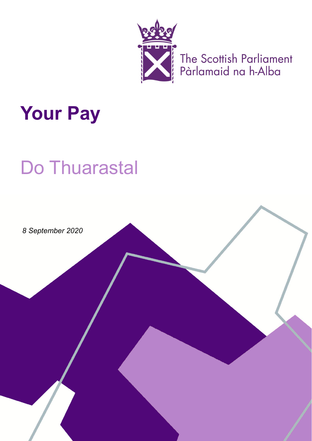

The Scottish Parliament<br>Pàrlamaid na h-Alba

# **Your Pay**

# **Do Thuarastal**

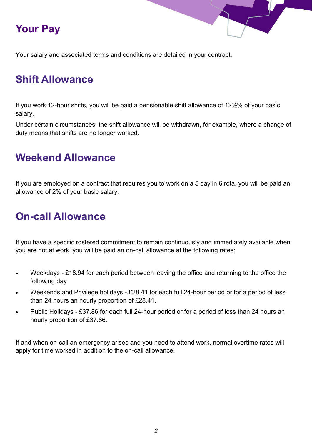#### **Your Pay**

Your salary and associated terms and conditions are detailed in your contract.

#### **Shift Allowance**

If you work 12-hour shifts, you will be paid a pensionable shift allowance of 12½% of your basic salary.

Under certain circumstances, the shift allowance will be withdrawn, for example, where a change of duty means that shifts are no longer worked.

#### **Weekend Allowance**

If you are employed on a contract that requires you to work on a 5 day in 6 rota, you will be paid an allowance of 2% of your basic salary.

#### **On-call Allowance**

If you have a specific rostered commitment to remain continuously and immediately available when you are not at work, you will be paid an on-call allowance at the following rates:

- Weekdays £18.94 for each period between leaving the office and returning to the office the following day
- Weekends and Privilege holidays £28.41 for each full 24-hour period or for a period of less than 24 hours an hourly proportion of £28.41.
- Public Holidays £37.86 for each full 24-hour period or for a period of less than 24 hours an hourly proportion of £37.86.

If and when on-call an emergency arises and you need to attend work, normal overtime rates will apply for time worked in addition to the on-call allowance.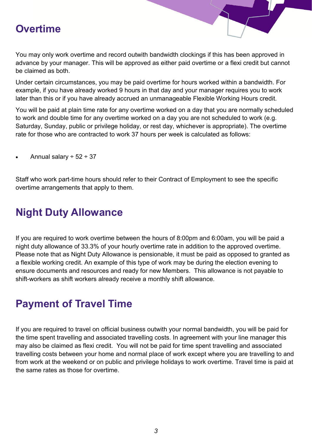#### **Overtime**

You may only work overtime and record outwith bandwidth clockings if this has been approved in advance by your manager. This will be approved as either paid overtime or a flexi credit but cannot be claimed as both.

Under certain circumstances, you may be paid overtime for hours worked within a bandwidth. For example, if you have already worked 9 hours in that day and your manager requires you to work later than this or if you have already accrued an unmanageable Flexible Working Hours credit.

You will be paid at plain time rate for any overtime worked on a day that you are normally scheduled to work and double time for any overtime worked on a day you are not scheduled to work (e.g. Saturday, Sunday, public or privilege holiday, or rest day, whichever is appropriate). The overtime rate for those who are contracted to work 37 hours per week is calculated as follows:

Annual salary  $\div$  52  $\div$  37

Staff who work part-time hours should refer to their Contract of Employment to see the specific overtime arrangements that apply to them.

#### **Night Duty Allowance**

If you are required to work overtime between the hours of 8:00pm and 6:00am, you will be paid a night duty allowance of 33.3% of your hourly overtime rate in addition to the approved overtime. Please note that as Night Duty Allowance is pensionable, it must be paid as opposed to granted as a flexible working credit. An example of this type of work may be during the election evening to ensure documents and resources and ready for new Members. This allowance is not payable to shift-workers as shift workers already receive a monthly shift allowance.

#### **Payment of Travel Time**

If you are required to travel on official business outwith your normal bandwidth, you will be paid for the time spent travelling and associated travelling costs. In agreement with your line manager this may also be claimed as flexi credit. You will not be paid for time spent travelling and associated travelling costs between your home and normal place of work except where you are travelling to and from work at the weekend or on public and privilege holidays to work overtime. Travel time is paid at the same rates as those for overtime.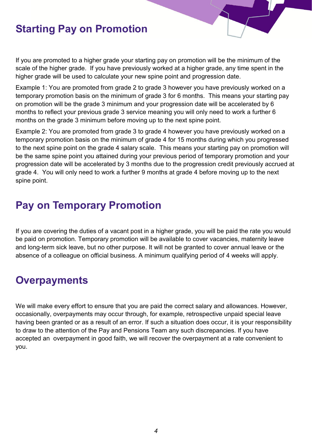#### **Starting Pay on Promotion**

If you are promoted to a higher grade your starting pay on promotion will be the minimum of the scale of the higher grade. If you have previously worked at a higher grade, any time spent in the higher grade will be used to calculate your new spine point and progression date.

Example 1: You are promoted from grade 2 to grade 3 however you have previously worked on a temporary promotion basis on the minimum of grade 3 for 6 months. This means your starting pay on promotion will be the grade 3 minimum and your progression date will be accelerated by 6 months to reflect your previous grade 3 service meaning you will only need to work a further 6 months on the grade 3 minimum before moving up to the next spine point.

Example 2: You are promoted from grade 3 to grade 4 however you have previously worked on a temporary promotion basis on the minimum of grade 4 for 15 months during which you progressed to the next spine point on the grade 4 salary scale. This means your starting pay on promotion will be the same spine point you attained during your previous period of temporary promotion and your progression date will be accelerated by 3 months due to the progression credit previously accrued at grade 4. You will only need to work a further 9 months at grade 4 before moving up to the next spine point.

#### **Pay on Temporary Promotion**

If you are covering the duties of a vacant post in a higher grade, you will be paid the rate you would be paid on promotion. Temporary promotion will be available to cover vacancies, maternity leave and long-term sick leave, but no other purpose. It will not be granted to cover annual leave or the absence of a colleague on official business. A minimum qualifying period of 4 weeks will apply.

#### **Overpayments**

We will make every effort to ensure that you are paid the correct salary and allowances. However, occasionally, overpayments may occur through, for example, retrospective unpaid special leave having been granted or as a result of an error. If such a situation does occur, it is your responsibility to draw to the attention of the Pay and Pensions Team any such discrepancies. If you have accepted an overpayment in good faith, we will recover the overpayment at a rate convenient to you.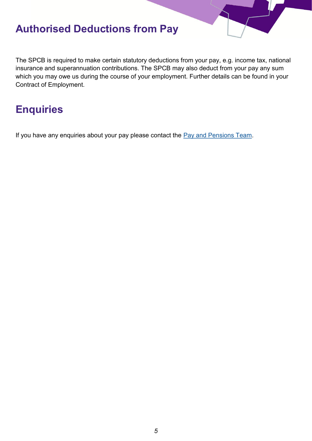#### **Authorised Deductions from Pay**

The SPCB is required to make certain statutory deductions from your pay, e.g. income tax, national insurance and superannuation contributions. The SPCB may also deduct from your pay any sum which you may owe us during the course of your employment. Further details can be found in your Contract of Employment.

#### **Enquiries**

If you have any enquiries about your pay please contact the [Pay and Pensions Team.](mailto:PayandPensionEnquiries@Parliament.Scot)